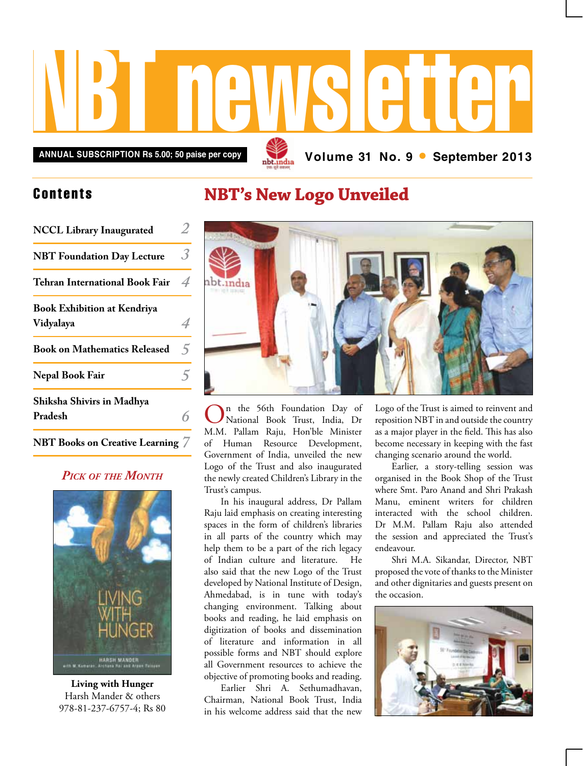

**Annual subscription Rs 5.00; 50 paise per copy Volume 31 No. 9 • September 2013**

## Contents

| <b>NCCL Library Inaugurated</b>                 |                         |
|-------------------------------------------------|-------------------------|
| <b>NBT Foundation Day Lecture</b>               | $\overline{\mathbf{3}}$ |
| Tehran International Book Fair                  | 4                       |
| <b>Book Exhibition at Kendriya</b><br>Vidyalaya |                         |
| <b>Book on Mathematics Released</b>             | ↰                       |
| Nepal Book Fair                                 |                         |
| Shiksha Shivirs in Madhya<br>Pradesh            |                         |

## **NBT Books on Creative Learning** *7*

## *Pick of the Month*



**Living with Hunger** Harsh Mander & others 978-81-237-6757-4; Rs 80

## **NBT's New Logo Unveiled**



On the 56th Foundation Day of<br>
National Book Trust, India, Dr M.M. Pallam Raju, Hon'ble Minister of Human Resource Development, Government of India, unveiled the new Logo of the Trust and also inaugurated the newly created Children's Library in the Trust's campus.

In his inaugural address, Dr Pallam Raju laid emphasis on creating interesting spaces in the form of children's libraries in all parts of the country which may help them to be a part of the rich legacy of Indian culture and literature. He also said that the new Logo of the Trust developed by National Institute of Design, Ahmedabad, is in tune with today's changing environment. Talking about books and reading, he laid emphasis on digitization of books and dissemination of literature and information in all possible forms and NBT should explore all Government resources to achieve the objective of promoting books and reading.

Earlier Shri A. Sethumadhavan, Chairman, National Book Trust, India in his welcome address said that the new

Logo of the Trust is aimed to reinvent and reposition NBT in and outside the country as a major player in the field. This has also become necessary in keeping with the fast changing scenario around the world.

Earlier, a story-telling session was organised in the Book Shop of the Trust where Smt. Paro Anand and Shri Prakash Manu, eminent writers for children interacted with the school children. Dr M.M. Pallam Raju also attended the session and appreciated the Trust's endeavour.

Shri M.A. Sikandar, Director, NBT proposed the vote of thanks to the Minister and other dignitaries and guests present on the occasion.

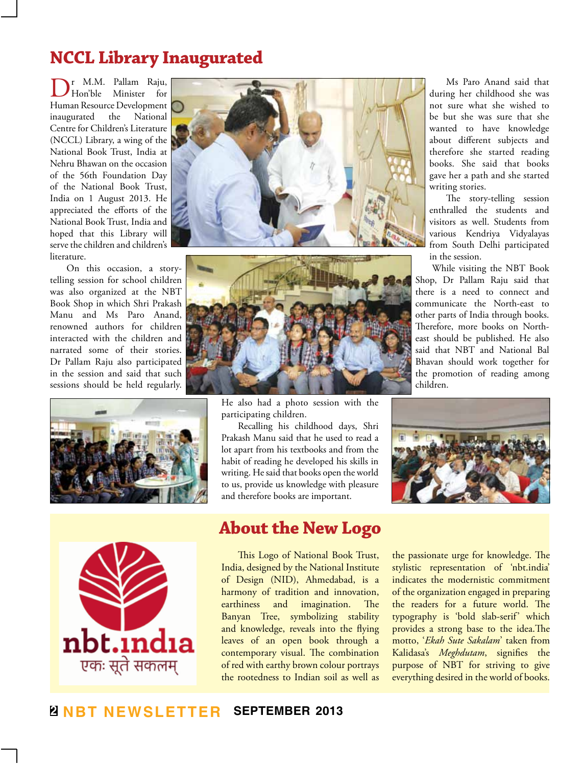# **NCCL Library Inaugurated**

r M.M. Pallam Raju,<br>Hon'ble Minister for Minister Human Resource Development inaugurated the National Centre for Children's Literature (NCCL) Library, a wing of the National Book Trust, India at Nehru Bhawan on the occasion of the 56th Foundation Day of the National Book Trust, India on 1 August 2013. He appreciated the efforts of the National Book Trust, India and hoped that this Library will serve the children and children's literature.

On this occasion, a storytelling session for school children was also organized at the NBT Book Shop in which Shri Prakash Manu and Ms Paro Anand, renowned authors for children interacted with the children and narrated some of their stories. Dr Pallam Raju also participated in the session and said that such sessions should be held regularly.









He also had a photo session with the participating children.

Recalling his childhood days, Shri Prakash Manu said that he used to read a lot apart from his textbooks and from the habit of reading he developed his skills in writing. He said that books open the world to us, provide us knowledge with pleasure and therefore books are important.

**About the New Logo**

This Logo of National Book Trust, India, designed by the National Institute of Design (NID), Ahmedabad, is a harmony of tradition and innovation, earthiness and imagination. The Banyan Tree, symbolizing stability and knowledge, reveals into the flying leaves of an open book through a contemporary visual. The combination of red with earthy brown colour portrays the rootedness to Indian soil as well as

Ms Paro Anand said that during her childhood she was not sure what she wished to be but she was sure that she wanted to have knowledge about different subjects and therefore she started reading books. She said that books gave her a path and she started writing stories.

The story-telling session enthralled the students and visitors as well. Students from various Kendriya Vidyalayas from South Delhi participated in the session.

While visiting the NBT Book Shop, Dr Pallam Raju said that there is a need to connect and communicate the North-east to other parts of India through books. Therefore, more books on Northeast should be published. He also said that NBT and National Bal Bhavan should work together for the promotion of reading among children.



the passionate urge for knowledge. The stylistic representation of 'nbt.india' indicates the modernistic commitment of the organization engaged in preparing the readers for a future world. The typography is 'bold slab-serif' which provides a strong base to the idea.The motto, '*Ekah Sute Sakalam*' taken from Kalidasa's *Meghdutam*, signifies the purpose of NBT for striving to give everything desired in the world of books.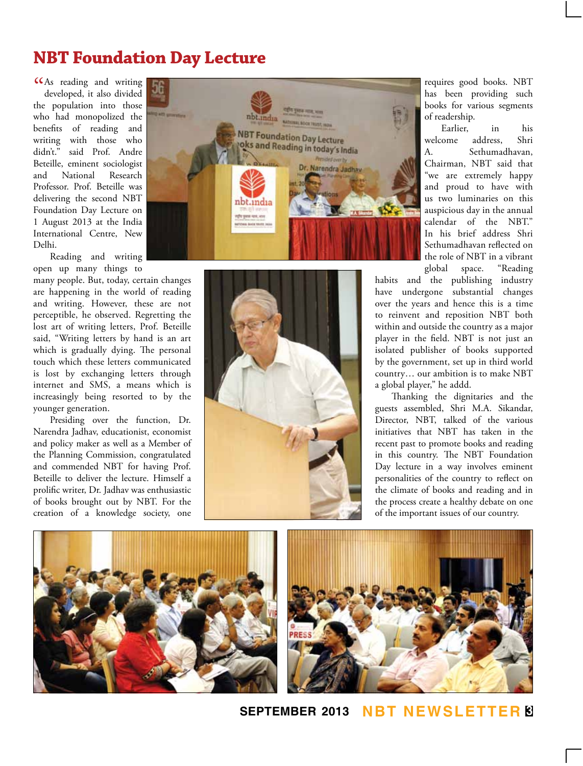# **NBT Foundation Day Lecture**

CCAs reading and writing<br>developed, it also divided developed, it also divided the population into those who had monopolized the benefits of reading and writing with those who didn't." said Prof. Andre Beteille, eminent sociologist and National Research Professor. Prof. Beteille was delivering the second NBT Foundation Day Lecture on 1 August 2013 at the India International Centre, New Delhi.

Reading and writing open up many things to

many people. But, today, certain changes are happening in the world of reading and writing. However, these are not perceptible, he observed. Regretting the lost art of writing letters, Prof. Beteille said, "Writing letters by hand is an art which is gradually dying. The personal touch which these letters communicated is lost by exchanging letters through internet and SMS, a means which is increasingly being resorted to by the younger generation.

Presiding over the function, Dr. Narendra Jadhav, educationist, economist and policy maker as well as a Member of the Planning Commission, congratulated and commended NBT for having Prof. Beteille to deliver the lecture. Himself a prolific writer, Dr. Jadhav was enthusiastic of books brought out by NBT. For the creation of a knowledge society, one





requires good books. NBT has been providing such books for various segments of readership.

Earlier, in his welcome address, Shri A. Sethumadhavan, Chairman, NBT said that "we are extremely happy and proud to have with us two luminaries on this auspicious day in the annual calendar of the NBT." In his brief address Shri Sethumadhavan reflected on the role of NBT in a vibrant<br>global space. "Reading space. "Reading

habits and the publishing industry have undergone substantial changes over the years and hence this is a time to reinvent and reposition NBT both within and outside the country as a major player in the field. NBT is not just an isolated publisher of books supported by the government, set up in third world country… our ambition is to make NBT a global player," he addd.

Thanking the dignitaries and the guests assembled, Shri M.A. Sikandar, Director, NBT, talked of the various initiatives that NBT has taken in the recent past to promote books and reading in this country. The NBT Foundation Day lecture in a way involves eminent personalities of the country to reflect on the climate of books and reading and in the process create a healthy debate on one of the important issues of our country.





**september 2013 NBT Newsletter 3**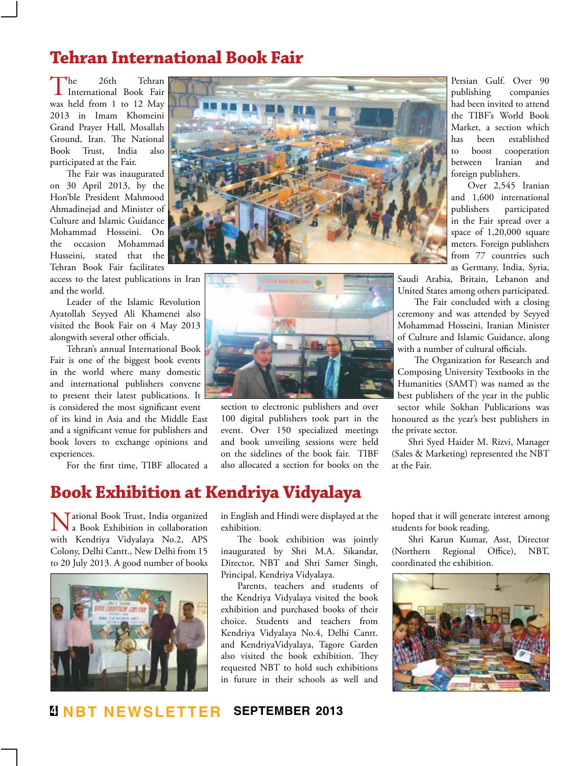# **Tehran International Book Fair**

The 26th Tehran<br>International Book Fair was held from 1 to 12 May 2013 in Imam Khomeini Grand Prayer Hall, Mosallah Ground, Iran. The National Book Trust, India also participated at the Fair.

The Fair was inaugurated on 30 April 2013, by the Hon'ble President Mahmood Ahmadinejad and Minister of Culture and Islamic Guidance Mohammad Hosseini. On the occasion Mohammad Husseini, stated that the Tehran Book Fair facilitates

access to the latest publications in Iran and the world.

Leader of the Islamic Revolution Ayatollah Seyyed Ali Khamenei also visited the Book Fair on 4 May 2013 alongwith several other officials.

Tehran's annual International Book Fair is one of the biggest book events in the world where many domestic and international publishers convene to present their latest publications. It is considered the most significant event of its kind in Asia and the Middle East and a significant venue for publishers and book lovers to exchange opinions and experiences.

For the first time, TIBF allocated a



section to electronic publishers and over 100 digital publishers took part in the event. Over 150 specialized meetings and book unveiling sessions were held on the sidelines of the book fair. TIBF also allocated a section for books on the

## **Book Exhibition at Kendriya Vidyalaya**

National Book Trust, India organized a Book Exhibition in collaboration with Kendriya Vidyalaya No.2, APS Colony, Delhi Cantt., New Delhi from 15 to 20 July 2013. A good number of books



in English and Hindi were displayed at the exhibition.

The book exhibition was jointly inaugurated by Shri M.A. Sikandar, Director, NBT and Shri Samer Singh, Principal, Kendriya Vidyalaya.

Parents, teachers and students of the Kendriya Vidyalaya visited the book exhibition and purchased books of their choice. Students and teachers from Kendriya Vidyalaya No.4, Delhi Cantt. and KendriyaVidyalaya, Tagore Garden also visited the book exhibition. They requested NBT to hold such exhibitions in future in their schools as well and

Persian Gulf. Over 90 publishing companies had been invited to attend the TIBF's World Book Market, a section which has been established to boost cooperation between Iranian and foreign publishers.

Over 2,545 Iranian and 1,600 international publishers participated in the Fair spread over a space of 1,20,000 square meters. Foreign publishers from 77 countries such as Germany, India, Syria,

Saudi Arabia, Britain, Lebanon and United States among others participated.

The Fair concluded with a closing ceremony and was attended by Seyyed Mohammad Hosseini, Iranian Minister of Culture and Islamic Guidance, along with a number of cultural officials.

The Organization for Research and Composing University Textbooks in the Humanities (SAMT) was named as the best publishers of the year in the public sector while Sokhan Publications was honoured as the year's best publishers in the private sector.

Shri Syed Haider M. Rizvi, Manager (Sales & Marketing) represented the NBT at the Fair.

hoped that it will generate interest among students for book reading.

Shri Karun Kumar, Asst, Director (Northern Regional Office), NBT, coordinated the exhibition.

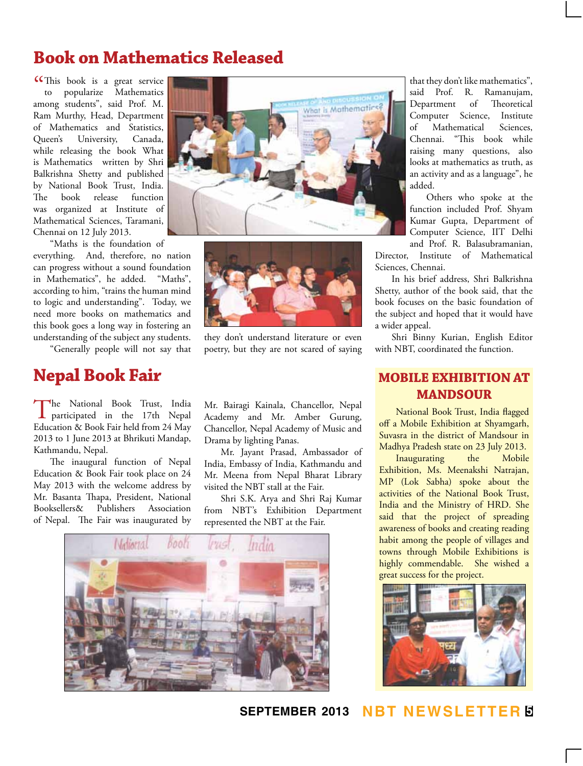# **Book on Mathematics Released**

**CC**This book is a great service<br>to popularize Mathematics to popularize Mathematics among students", said Prof. M. Ram Murthy, Head, Department of Mathematics and Statistics, Queen's University, Canada, while releasing the book What is Mathematics written by Shri Balkrishna Shetty and published by National Book Trust, India. The book release function was organized at Institute of Mathematical Sciences, Taramani, Chennai on 12 July 2013.

"Maths is the foundation of everything. And, therefore, no nation can progress without a sound foundation in Mathematics", he added. "Maths", according to him, "trains the human mind to logic and understanding". Today, we need more books on mathematics and this book goes a long way in fostering an understanding of the subject any students.

"Generally people will not say that

# **Nepal Book Fair**

The National Book Trust, India<br>
participated in the 17th Nepal Education & Book Fair held from 24 May 2013 to 1 June 2013 at Bhrikuti Mandap, Kathmandu, Nepal.

The inaugural function of Nepal Education & Book Fair took place on 24 May 2013 with the welcome address by Mr. Basanta Thapa, President, National Booksellers& Publishers Association of Nepal. The Fair was inaugurated by





they don't understand literature or even poetry, but they are not scared of saying

Mr. Bairagi Kainala, Chancellor, Nepal Academy and Mr. Amber Gurung, Chancellor, Nepal Academy of Music and Drama by lighting Panas.

Mr. Jayant Prasad, Ambassador of India, Embassy of India, Kathmandu and Mr. Meena from Nepal Bharat Library visited the NBT stall at the Fair.

Shri S.K. Arya and Shri Raj Kumar from NBT's Exhibition Department represented the NBT at the Fair.



that they don't like mathematics", said Prof. R. Ramanujam, Department of Theoretical Computer Science, Institute of Mathematical Sciences, Chennai. "This book while raising many questions, also looks at mathematics as truth, as an activity and as a language", he added.

Others who spoke at the function included Prof. Shyam Kumar Gupta, Department of Computer Science, IIT Delhi and Prof. R. Balasubramanian,

Director, Institute of Mathematical Sciences, Chennai.

In his brief address, Shri Balkrishna Shetty, author of the book said, that the book focuses on the basic foundation of the subject and hoped that it would have a wider appeal.

Shri Binny Kurian, English Editor with NBT, coordinated the function.

## **Mobile Exhibition at Mandsour**

National Book Trust, India flagged off a Mobile Exhibition at Shyamgarh, Suvasra in the district of Mandsour in Madhya Pradesh state on 23 July 2013.

Inaugurating the Mobile Exhibition, Ms. Meenakshi Natrajan, MP (Lok Sabha) spoke about the activities of the National Book Trust, India and the Ministry of HRD. She said that the project of spreading awareness of books and creating reading habit among the people of villages and towns through Mobile Exhibitions is highly commendable. She wished a great success for the project.



**september 2013 NBT Newsletter 5**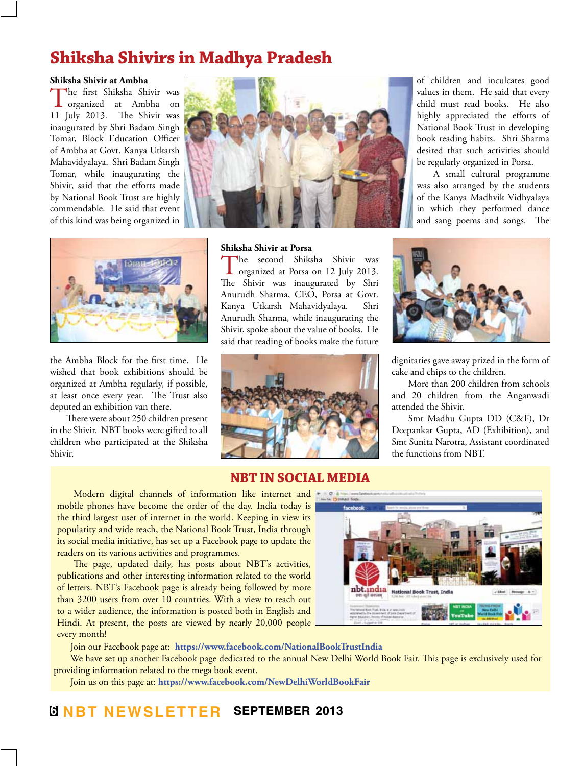# **Shiksha Shivirs in Madhya Pradesh**

#### **Shiksha Shivir at Ambha**

The first Shiksha Shivir was<br>organized at Ambha on<br> $\frac{1}{2}$ 11 July 2013. The Shivir was inaugurated by Shri Badam Singh Tomar, Block Education Officer of Ambha at Govt. Kanya Utkarsh Mahavidyalaya. Shri Badam Singh Tomar, while inaugurating the Shivir, said that the efforts made by National Book Trust are highly commendable. He said that event of this kind was being organized in





the Ambha Block for the first time. He wished that book exhibitions should be organized at Ambha regularly, if possible, at least once every year. The Trust also deputed an exhibition van there.

There were about 250 children present in the Shivir. NBT books were gifted to all children who participated at the Shiksha Shivir.

### **Shiksha Shivir at Porsa**

The second Shiksha Shivir was<br>organized at Porsa on 12 July 2013. The Shivir was inaugurated by Shri Anurudh Sharma, CEO, Porsa at Govt. Kanya Utkarsh Mahavidyalaya. Shri Anurudh Sharma, while inaugurating the Shivir, spoke about the value of books. He said that reading of books make the future



### **NBT in Social Media**

Modern digital channels of information like internet and mobile phones have become the order of the day. India today is the third largest user of internet in the world. Keeping in view its popularity and wide reach, the National Book Trust, India through its social media initiative, has set up a Facebook page to update the readers on its various activities and programmes.

The page, updated daily, has posts about NBT's activities, publications and other interesting information related to the world of letters. NBT's Facebook page is already being followed by more than 3200 users from over 10 countries. With a view to reach out to a wider audience, the information is posted both in English and Hindi. At present, the posts are viewed by nearly 20,000 people every month!

Join our Facebook page at: **https://www.facebook.com/NationalBookTrustIndia**

We have set up another Facebook page dedicated to the annual New Delhi World Book Fair. This page is exclusively used for providing information related to the mega book event.

Join us on this page at: **https://www.facebook.com/NewDelhiWorldBookFair**

of children and inculcates good values in them. He said that every child must read books. He also highly appreciated the efforts of National Book Trust in developing book reading habits. Shri Sharma desired that such activities should be regularly organized in Porsa.

A small cultural programme was also arranged by the students of the Kanya Madhvik Vidhyalaya in which they performed dance and sang poems and songs. The



dignitaries gave away prized in the form of cake and chips to the children.

More than 200 children from schools and 20 children from the Anganwadi attended the Shivir.

Smt Madhu Gupta DD (C&F), Dr Deepankar Gupta, AD (Exhibition), and Smt Sunita Narotra, Assistant coordinated the functions from NBT.

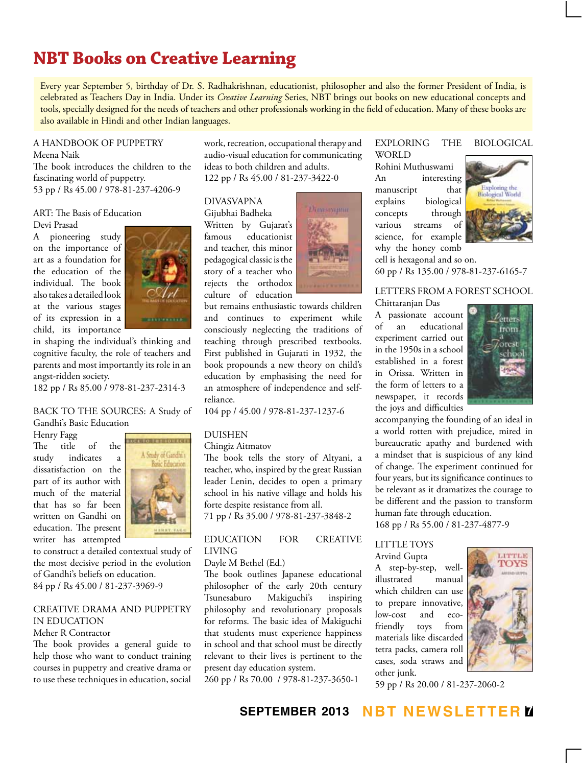# **NBT Books on Creative Learning**

Every year September 5, birthday of Dr. S. Radhakrishnan, educationist, philosopher and also the former President of India, is celebrated as Teachers Day in India. Under its *Creative Learning* Series, NBT brings out books on new educational concepts and tools, specially designed for the needs of teachers and other professionals working in the field of education. Many of these books are also available in Hindi and other Indian languages.

#### A HANDBOOK OF PUPPETRY Meena Naik

The book introduces the children to the fascinating world of puppetry. 53 pp / Rs 45.00 / 978-81-237-4206-9

### ART: The Basis of Education Devi Prasad

A pioneering study on the importance of art as a foundation for the education of the individual. The book also takes a detailed look at the various stages of its expression in a child, its importance



in shaping the individual's thinking and cognitive faculty, the role of teachers and parents and most importantly its role in an angst-ridden society.

182 pp / Rs 85.00 / 978-81-237-2314-3

### BACK TO THE SOURCES: A Study of Gandhi's Basic Education

Henry Fagg

The title of the study indicates a dissatisfaction on the part of its author with much of the material that has so far been written on Gandhi on education. The present writer has attempted



to construct a detailed contextual study of the most decisive period in the evolution of Gandhi's beliefs on education. 84 pp / Rs 45.00 / 81-237-3969-9

## CREATIVE DRAMA AND PUPPETRY IN EDUCATION

## Meher R Contractor

The book provides a general guide to help those who want to conduct training courses in puppetry and creative drama or to use these techniques in education, social work, recreation, occupational therapy and audio-visual education for communicating ideas to both children and adults. 122 pp / Rs 45.00 / 81-237-3422-0

DIVASVAPNA

Gijubhai Badheka Written by Gujarat's famous educationist and teacher, this minor pedagogical classic is the story of a teacher who rejects the orthodox culture of education



but remains enthusiastic towards children and continues to experiment while consciously neglecting the traditions of teaching through prescribed textbooks. First published in Gujarati in 1932, the book propounds a new theory on child's education by emphasising the need for an atmosphere of independence and selfreliance.

104 pp / 45.00 / 978-81-237-1237-6

### DUISHEN

Chingiz Aitmatov

The book tells the story of Altyani, a teacher, who, inspired by the great Russian leader Lenin, decides to open a primary school in his native village and holds his forte despite resistance from all. 71 pp / Rs 35.00 / 978-81-237-3848-2

### EDUCATION FOR CREATIVE LIVING

Dayle M Bethel (Ed.)

The book outlines Japanese educational philosopher of the early 20th century Tsunesaburo Makiguchi's inspiring philosophy and revolutionary proposals for reforms. The basic idea of Makiguchi that students must experience happiness in school and that school must be directly relevant to their lives is pertinent to the present day education system.

260 pp / Rs 70.00 / 978-81-237-3650-1

### EXPLORING THE BIOLOGICAL WORLD

Rohini Muthuswami An interesting manuscript that explains biological concepts through various streams of science, for example why the honey comb



cell is hexagonal and so on. 60 pp / Rs 135.00 / 978-81-237-6165-7

### LETTERS FROM A FOREST SCHOOL Chittaranjan Das

A passionate account of an educational experiment carried out in the 1950s in a school established in a forest in Orissa. Written in the form of letters to a newspaper, it records the joys and difficulties



accompanying the founding of an ideal in a world rotten with prejudice, mired in bureaucratic apathy and burdened with a mindset that is suspicious of any kind of change. The experiment continued for four years, but its significance continues to be relevant as it dramatizes the courage to be different and the passion to transform human fate through education. 168 pp / Rs 55.00 / 81-237-4877-9

### LITTLE TOYS Arvind Gupta

A step-by-step, wellillustrated manual which children can use to prepare innovative, low-cost and ecofriendly toys from materials like discarded tetra packs, camera roll cases, soda straws and other junk.



59 pp / Rs 20.00 / 81-237-2060-2